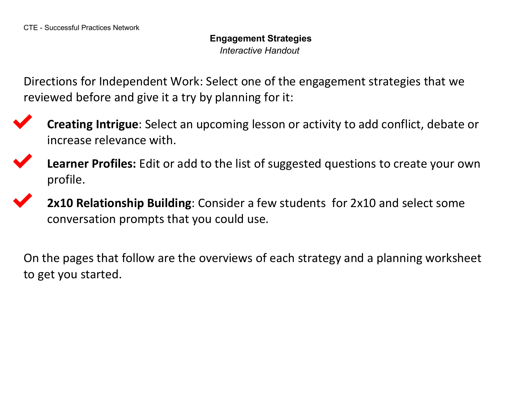**Engagement Strategies** *Interactive Handout*

Directions for Independent Work: Select one of the engagement strategies that we reviewed before and give it a try by planning for it:



✔ **Creating Intrigue**: Select an upcoming lesson or activity to add conflict, debate or increase relevance with.



Learner Profiles: Edit or add to the list of suggested questions to create your own profile.

**2x10 Relationship Building**: Consider a few students for 2x10 and select some conversation prompts that you could use.

On the pages that follow are the overviews of each strategy and a planning worksheet to get you started.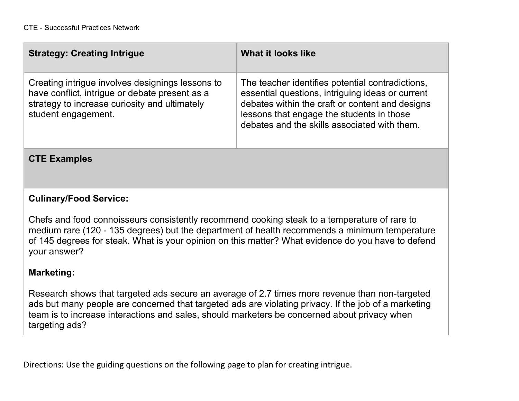| <b>Strategy: Creating Intrigue</b>                                                                                                                                         | What it looks like                                                                                                                                                                                                                                   |
|----------------------------------------------------------------------------------------------------------------------------------------------------------------------------|------------------------------------------------------------------------------------------------------------------------------------------------------------------------------------------------------------------------------------------------------|
| Creating intrigue involves designings lessons to<br>have conflict, intrigue or debate present as a<br>strategy to increase curiosity and ultimately<br>student engagement. | The teacher identifies potential contradictions,<br>essential questions, intriguing ideas or current<br>debates within the craft or content and designs<br>lessons that engage the students in those<br>debates and the skills associated with them. |

## **CTE Examples**

## **Culinary/Food Service:**

Chefs and food connoisseurs consistently recommend cooking steak to a temperature of rare to medium rare (120 - 135 degrees) but the department of health recommends a minimum temperature of 145 degrees for steak. What is your opinion on this matter? What evidence do you have to defend your answer?

## **Marketing:**

Research shows that targeted ads secure an average of 2.7 times more revenue than non-targeted ads but many people are concerned that targeted ads are violating privacy. If the job of a marketing team is to increase interactions and sales, should marketers be concerned about privacy when targeting ads?

Directions: Use the guiding questions on the following page to plan for creating intrigue.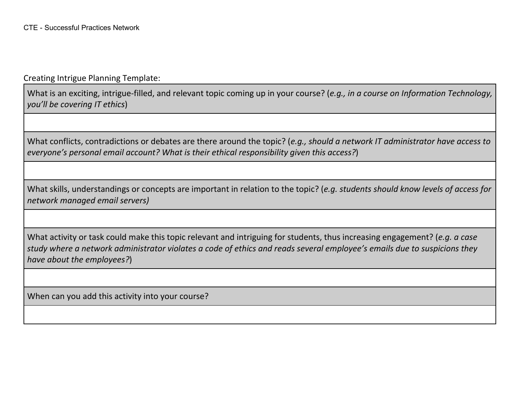Creating Intrigue Planning Template:

What is an exciting, intrigue-filled, and relevant topic coming up in your course? (*e.g., in a course on Information Technology, you'll be covering IT ethics*)

What conflicts, contradictions or debates are there around the topic? (*e.g., should a network IT administrator have access to everyone's personal email account? What is their ethical responsibility given this access?*)

What skills, understandings or concepts are important in relation to the topic? (*e.g. students should know levels of access for network managed email servers)*

What activity or task could make this topic relevant and intriguing for students, thus increasing engagement? (*e.g. a case study where a network administrator violates a code of ethics and reads several employee's emails due to suspicions they have about the employees?*)

When can you add this activity into your course?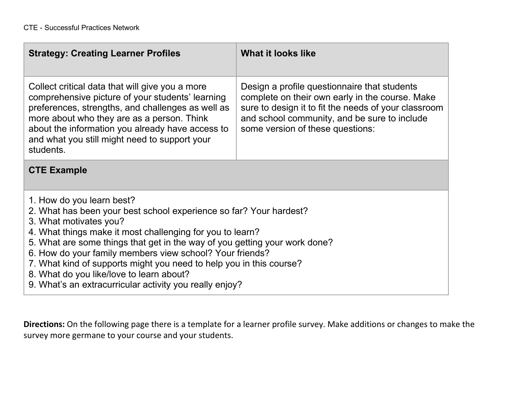| <b>Strategy: Creating Learner Profiles</b>                                                                                                                                                                                                                                                                                                                                                                                                                                                                     | What it looks like                                                                                                                                                                                                                          |  |
|----------------------------------------------------------------------------------------------------------------------------------------------------------------------------------------------------------------------------------------------------------------------------------------------------------------------------------------------------------------------------------------------------------------------------------------------------------------------------------------------------------------|---------------------------------------------------------------------------------------------------------------------------------------------------------------------------------------------------------------------------------------------|--|
| Collect critical data that will give you a more<br>comprehensive picture of your students' learning<br>preferences, strengths, and challenges as well as<br>more about who they are as a person. Think<br>about the information you already have access to<br>and what you still might need to support your<br>students.                                                                                                                                                                                       | Design a profile questionnaire that students<br>complete on their own early in the course. Make<br>sure to design it to fit the needs of your classroom<br>and school community, and be sure to include<br>some version of these questions: |  |
| <b>CTE Example</b>                                                                                                                                                                                                                                                                                                                                                                                                                                                                                             |                                                                                                                                                                                                                                             |  |
| 1. How do you learn best?<br>2. What has been your best school experience so far? Your hardest?<br>3. What motivates you?<br>4. What things make it most challenging for you to learn?<br>5. What are some things that get in the way of you getting your work done?<br>6. How do your family members view school? Your friends?<br>7. What kind of supports might you need to help you in this course?<br>8. What do you like/love to learn about?<br>9. What's an extracurricular activity you really enjoy? |                                                                                                                                                                                                                                             |  |

**Directions:** On the following page there is a template for a learner profile survey. Make additions or changes to make the survey more germane to your course and your students.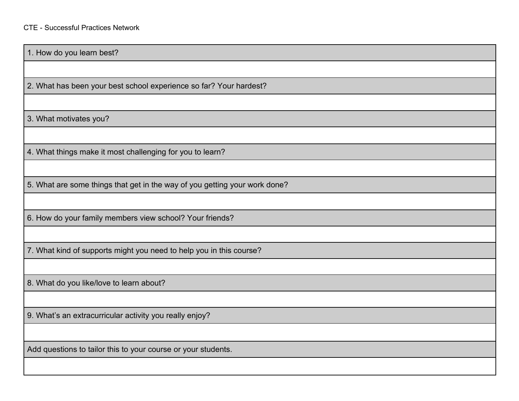1. How do you learn best?

2. What has been your best school experience so far? Your hardest?

3. What motivates you?

4. What things make it most challenging for you to learn?

5. What are some things that get in the way of you getting your work done?

6. How do your family members view school? Your friends?

7. What kind of supports might you need to help you in this course?

8. What do you like/love to learn about?

9. What's an extracurricular activity you really enjoy?

Add questions to tailor this to your course or your students.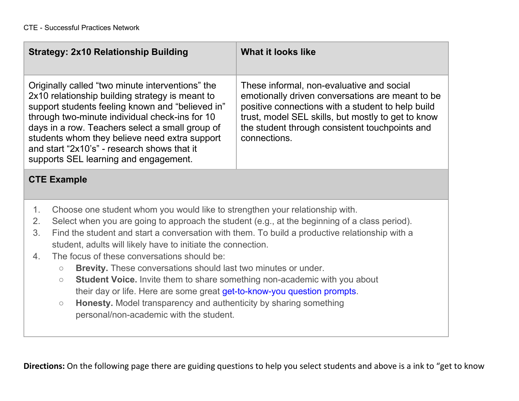| <b>Strategy: 2x10 Relationship Building</b>                                                                                                                                                                                                                                                                                                                                                                                                                                                                                                                                                                                                                                                                                                                                                                               | What it looks like                                                                                                                                                                                                                                                         |
|---------------------------------------------------------------------------------------------------------------------------------------------------------------------------------------------------------------------------------------------------------------------------------------------------------------------------------------------------------------------------------------------------------------------------------------------------------------------------------------------------------------------------------------------------------------------------------------------------------------------------------------------------------------------------------------------------------------------------------------------------------------------------------------------------------------------------|----------------------------------------------------------------------------------------------------------------------------------------------------------------------------------------------------------------------------------------------------------------------------|
| Originally called "two minute interventions" the<br>2x10 relationship building strategy is meant to<br>support students feeling known and "believed in"<br>through two-minute individual check-ins for 10<br>days in a row. Teachers select a small group of<br>students whom they believe need extra support<br>and start "2x10's" - research shows that it<br>supports SEL learning and engagement.                                                                                                                                                                                                                                                                                                                                                                                                                     | These informal, non-evaluative and social<br>emotionally driven conversations are meant to be<br>positive connections with a student to help build<br>trust, model SEL skills, but mostly to get to know<br>the student through consistent touchpoints and<br>connections. |
| <b>CTE Example</b>                                                                                                                                                                                                                                                                                                                                                                                                                                                                                                                                                                                                                                                                                                                                                                                                        |                                                                                                                                                                                                                                                                            |
| 1.<br>Choose one student whom you would like to strengthen your relationship with.<br>2.<br>Select when you are going to approach the student (e.g., at the beginning of a class period).<br>3.<br>Find the student and start a conversation with them. To build a productive relationship with a<br>student, adults will likely have to initiate the connection.<br>The focus of these conversations should be:<br>4.<br><b>Brevity.</b> These conversations should last two minutes or under.<br>$\bigcirc$<br><b>Student Voice.</b> Invite them to share something non-academic with you about<br>$\bigcirc$<br>their day or life. Here are some great get-to-know-you question prompts.<br>Honesty. Model transparency and authenticity by sharing something<br>$\bigcirc$<br>personal/non-academic with the student. |                                                                                                                                                                                                                                                                            |

**Directions:** On the following page there are guiding questions to help you select students and above is a ink to "get to know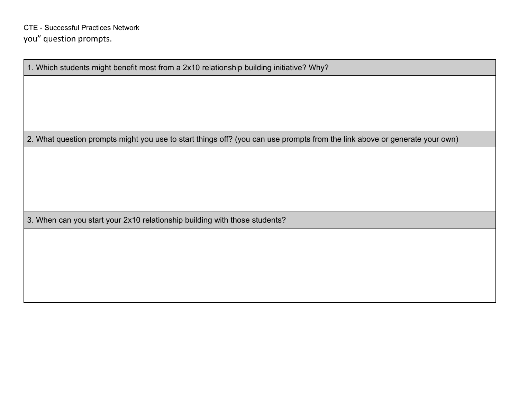1. Which students might benefit most from a 2x10 relationship building initiative? Why?

2. What question prompts might you use to start things off? (you can use prompts from the link above or generate your own)

3. When can you start your 2x10 relationship building with those students?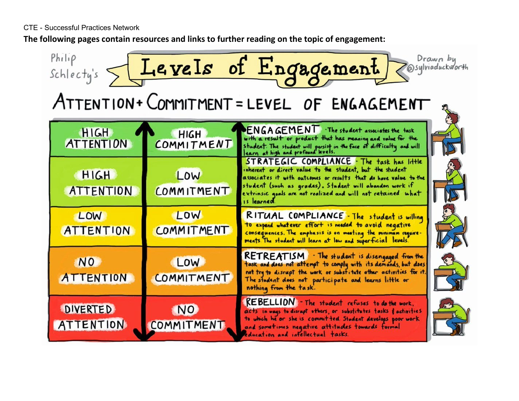CTE - Successful Practices Network

**The following pages contain resources and links to further reading on the topic of engagement:**

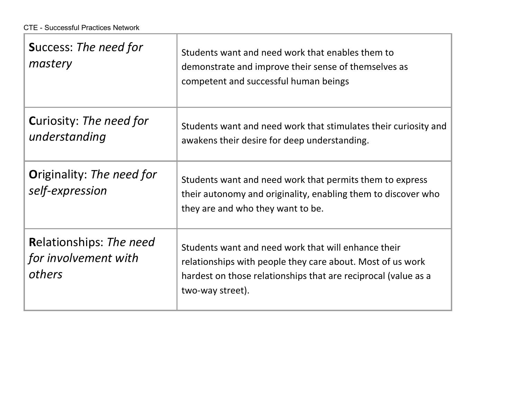| <b>Success: The need for</b><br>mastery                          | Students want and need work that enables them to<br>demonstrate and improve their sense of themselves as<br>competent and successful human beings                                                       |
|------------------------------------------------------------------|---------------------------------------------------------------------------------------------------------------------------------------------------------------------------------------------------------|
| <b>Curiosity: The need for</b><br>understanding                  | Students want and need work that stimulates their curiosity and<br>awakens their desire for deep understanding.                                                                                         |
| <b>Originality: The need for</b><br>self-expression              | Students want and need work that permits them to express<br>their autonomy and originality, enabling them to discover who<br>they are and who they want to be.                                          |
| <b>Relationships: The need</b><br>for involvement with<br>others | Students want and need work that will enhance their<br>relationships with people they care about. Most of us work<br>hardest on those relationships that are reciprocal (value as a<br>two-way street). |